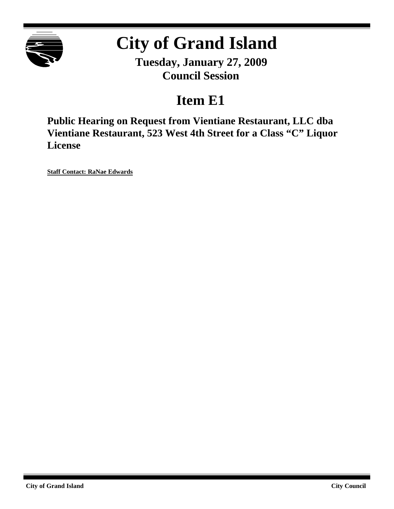

# **City of Grand Island**

**Tuesday, January 27, 2009 Council Session**

## **Item E1**

**Public Hearing on Request from Vientiane Restaurant, LLC dba Vientiane Restaurant, 523 West 4th Street for a Class "C" Liquor License**

**Staff Contact: RaNae Edwards**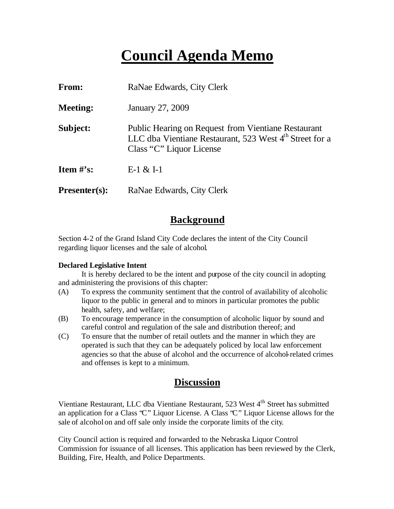## **Council Agenda Memo**

| From:           | RaNae Edwards, City Clerk                                                                                                                                     |
|-----------------|---------------------------------------------------------------------------------------------------------------------------------------------------------------|
| <b>Meeting:</b> | January 27, 2009                                                                                                                                              |
| Subject:        | <b>Public Hearing on Request from Vientiane Restaurant</b><br>LLC dba Vientiane Restaurant, 523 West 4 <sup>th</sup> Street for a<br>Class "C" Liquor License |
| Item $#$ 's:    | $E-1 & 2E-1$                                                                                                                                                  |
| $Presenter(s):$ | RaNae Edwards, City Clerk                                                                                                                                     |

## **Background**

Section 4-2 of the Grand Island City Code declares the intent of the City Council regarding liquor licenses and the sale of alcohol.

#### **Declared Legislative Intent**

It is hereby declared to be the intent and purpose of the city council in adopting and administering the provisions of this chapter:

- (A) To express the community sentiment that the control of availability of alcoholic liquor to the public in general and to minors in particular promotes the public health, safety, and welfare;
- (B) To encourage temperance in the consumption of alcoholic liquor by sound and careful control and regulation of the sale and distribution thereof; and
- (C) To ensure that the number of retail outlets and the manner in which they are operated is such that they can be adequately policed by local law enforcement agencies so that the abuse of alcohol and the occurrence of alcohol-related crimes and offenses is kept to a minimum.

### **Discussion**

Vientiane Restaurant, LLC dba Vientiane Restaurant, 523 West 4<sup>th</sup> Street has submitted an application for a Class "C" Liquor License. A Class "C" Liquor License allows for the sale of alcohol on and off sale only inside the corporate limits of the city.

City Council action is required and forwarded to the Nebraska Liquor Control Commission for issuance of all licenses. This application has been reviewed by the Clerk, Building, Fire, Health, and Police Departments.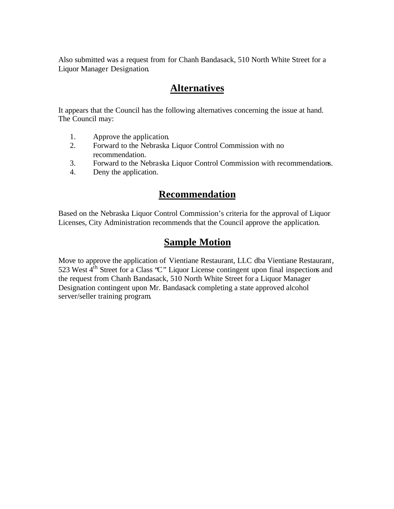Also submitted was a request from for Chanh Bandasack, 510 North White Street for a Liquor Manager Designation.

## **Alternatives**

It appears that the Council has the following alternatives concerning the issue at hand. The Council may:

- 1. Approve the application.
- 2. Forward to the Nebraska Liquor Control Commission with no recommendation.
- 3. Forward to the Nebraska Liquor Control Commission with recommendations.
- 4. Deny the application.

## **Recommendation**

Based on the Nebraska Liquor Control Commission's criteria for the approval of Liquor Licenses, City Administration recommends that the Council approve the application.

## **Sample Motion**

Move to approve the application of Vientiane Restaurant, LLC dba Vientiane Restaurant, 523 West  $4<sup>th</sup>$  Street for a Class 'C'' Liquor License contingent upon final inspections and the request from Chanh Bandasack, 510 North White Street for a Liquor Manager Designation contingent upon Mr. Bandasack completing a state approved alcohol server/seller training program.